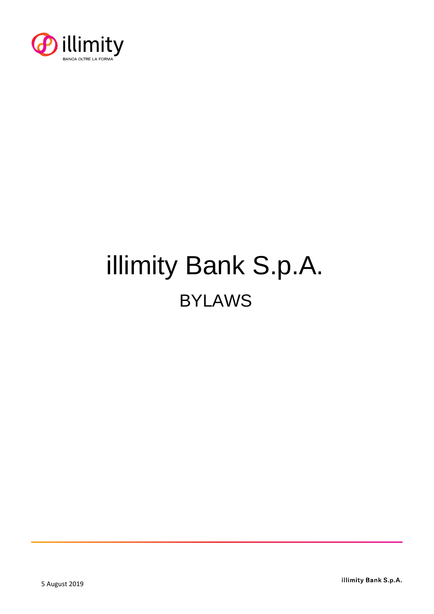

# illimity Bank S.p.A. BYLAWS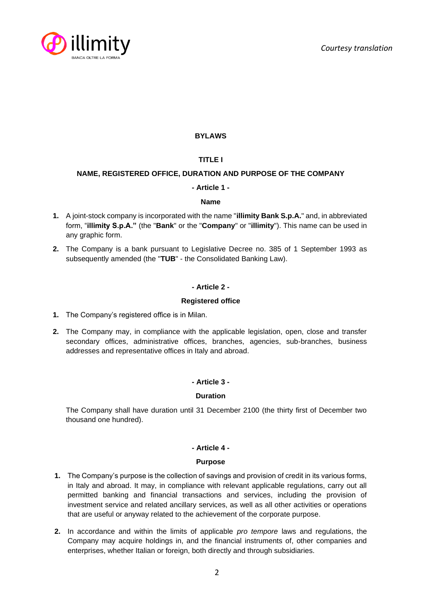

# **BYLAWS**

# **TITLE I**

# **NAME, REGISTERED OFFICE, DURATION AND PURPOSE OF THE COMPANY**

# **- Article 1 -**

## **Name**

- **1.** A joint-stock company is incorporated with the name "**illimity Bank S.p.A.**" and, in abbreviated form, "**illimity S.p.A."** (the "**Bank**" or the "**Company**" or "**illimity**"). This name can be used in any graphic form.
- **2.** The Company is a bank pursuant to Legislative Decree no. 385 of 1 September 1993 as subsequently amended (the "**TUB**" - the Consolidated Banking Law).

## **- Article 2 -**

#### **Registered office**

- **1.** The Company's registered office is in Milan.
- **2.** The Company may, in compliance with the applicable legislation, open, close and transfer secondary offices, administrative offices, branches, agencies, sub-branches, business addresses and representative offices in Italy and abroad.

## **- Article 3 -**

## **Duration**

The Company shall have duration until 31 December 2100 (the thirty first of December two thousand one hundred).

## **- Article 4 -**

#### **Purpose**

- **1.** The Company's purpose is the collection of savings and provision of credit in its various forms, in Italy and abroad. It may, in compliance with relevant applicable regulations, carry out all permitted banking and financial transactions and services, including the provision of investment service and related ancillary services, as well as all other activities or operations that are useful or anyway related to the achievement of the corporate purpose.
- **2.** In accordance and within the limits of applicable *pro tempore* laws and regulations, the Company may acquire holdings in, and the financial instruments of, other companies and enterprises, whether Italian or foreign, both directly and through subsidiaries.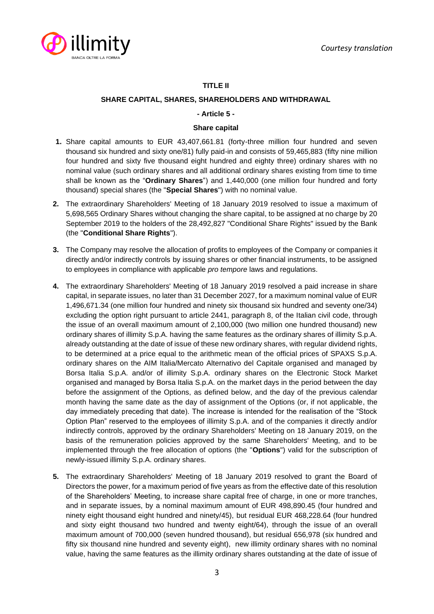

# **TITLE II**

# **SHARE CAPITAL, SHARES, SHAREHOLDERS AND WITHDRAWAL**

## **- Article 5 -**

## **Share capital**

- **1.** Share capital amounts to EUR 43,407,661.81 (forty-three million four hundred and seven thousand six hundred and sixty one/81) fully paid-in and consists of 59,465,883 (fifty nine million four hundred and sixty five thousand eight hundred and eighty three) ordinary shares with no nominal value (such ordinary shares and all additional ordinary shares existing from time to time shall be known as the "**Ordinary Shares**") and 1,440,000 (one million four hundred and forty thousand) special shares (the "**Special Shares**") with no nominal value.
- **2.** The extraordinary Shareholders' Meeting of 18 January 2019 resolved to issue a maximum of 5,698,565 Ordinary Shares without changing the share capital, to be assigned at no charge by 20 September 2019 to the holders of the 28,492,827 "Conditional Share Rights" issued by the Bank (the "**Conditional Share Rights**").
- **3.** The Company may resolve the allocation of profits to employees of the Company or companies it directly and/or indirectly controls by issuing shares or other financial instruments, to be assigned to employees in compliance with applicable *pro tempore* laws and regulations.
- **4.** The extraordinary Shareholders' Meeting of 18 January 2019 resolved a paid increase in share capital, in separate issues, no later than 31 December 2027, for a maximum nominal value of EUR 1,496,671.34 (one million four hundred and ninety six thousand six hundred and seventy one/34) excluding the option right pursuant to article 2441, paragraph 8, of the Italian civil code, through the issue of an overall maximum amount of 2,100,000 (two million one hundred thousand) new ordinary shares of illimity S.p.A. having the same features as the ordinary shares of illimity S.p.A. already outstanding at the date of issue of these new ordinary shares, with regular dividend rights, to be determined at a price equal to the arithmetic mean of the official prices of SPAXS S.p.A. ordinary shares on the AIM Italia/Mercato Alternativo del Capitale organised and managed by Borsa Italia S.p.A. and/or of illimity S.p.A. ordinary shares on the Electronic Stock Market organised and managed by Borsa Italia S.p.A. on the market days in the period between the day before the assignment of the Options, as defined below, and the day of the previous calendar month having the same date as the day of assignment of the Options (or, if not applicable, the day immediately preceding that date). The increase is intended for the realisation of the "Stock Option Plan" reserved to the employees of illimity S.p.A. and of the companies it directly and/or indirectly controls, approved by the ordinary Shareholders' Meeting on 18 January 2019, on the basis of the remuneration policies approved by the same Shareholders' Meeting, and to be implemented through the free allocation of options (the "**Options**") valid for the subscription of newly-issued illimity S.p.A. ordinary shares.
- **5.** The extraordinary Shareholders' Meeting of 18 January 2019 resolved to grant the Board of Directors the power, for a maximum period of five years as from the effective date of this resolution of the Shareholders' Meeting, to increase share capital free of charge, in one or more tranches, and in separate issues, by a nominal maximum amount of EUR 498,890.45 (four hundred and ninety eight thousand eight hundred and ninety/45), but residual EUR 468,228.64 (four hundred and sixty eight thousand two hundred and twenty eight/64), through the issue of an overall maximum amount of 700,000 (seven hundred thousand), but residual 656,978 (six hundred and fifty six thousand nine hundred and seventy eight), new illimity ordinary shares with no nominal value, having the same features as the illimity ordinary shares outstanding at the date of issue of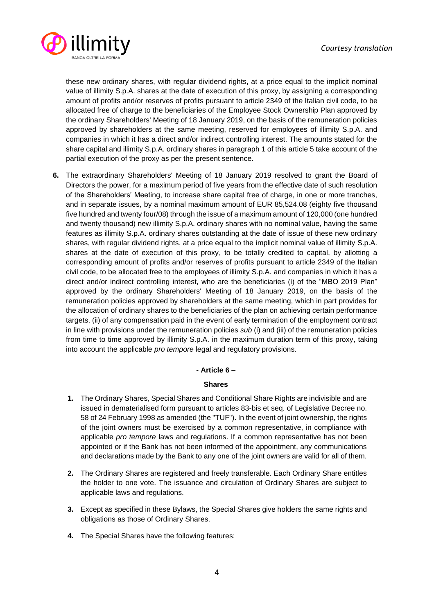

these new ordinary shares, with regular dividend rights, at a price equal to the implicit nominal value of illimity S.p.A. shares at the date of execution of this proxy, by assigning a corresponding amount of profits and/or reserves of profits pursuant to article 2349 of the Italian civil code, to be allocated free of charge to the beneficiaries of the Employee Stock Ownership Plan approved by the ordinary Shareholders' Meeting of 18 January 2019, on the basis of the remuneration policies approved by shareholders at the same meeting, reserved for employees of illimity S.p.A. and companies in which it has a direct and/or indirect controlling interest. The amounts stated for the share capital and illimity S.p.A. ordinary shares in paragraph 1 of this article 5 take account of the partial execution of the proxy as per the present sentence.

**6.** The extraordinary Shareholders' Meeting of 18 January 2019 resolved to grant the Board of Directors the power, for a maximum period of five years from the effective date of such resolution of the Shareholders' Meeting, to increase share capital free of charge, in one or more tranches, and in separate issues, by a nominal maximum amount of EUR 85,524.08 (eighty five thousand five hundred and twenty four/08) through the issue of a maximum amount of 120,000 (one hundred and twenty thousand) new illimity S.p.A. ordinary shares with no nominal value, having the same features as illimity S.p.A. ordinary shares outstanding at the date of issue of these new ordinary shares, with regular dividend rights, at a price equal to the implicit nominal value of illimity S.p.A. shares at the date of execution of this proxy, to be totally credited to capital, by allotting a corresponding amount of profits and/or reserves of profits pursuant to article 2349 of the Italian civil code, to be allocated free to the employees of illimity S.p.A. and companies in which it has a direct and/or indirect controlling interest, who are the beneficiaries (i) of the "MBO 2019 Plan" approved by the ordinary Shareholders' Meeting of 18 January 2019, on the basis of the remuneration policies approved by shareholders at the same meeting, which in part provides for the allocation of ordinary shares to the beneficiaries of the plan on achieving certain performance targets, (ii) of any compensation paid in the event of early termination of the employment contract in line with provisions under the remuneration policies *sub* (i) and (iii) of the remuneration policies from time to time approved by illimity S.p.A. in the maximum duration term of this proxy, taking into account the applicable *pro tempore* legal and regulatory provisions.

**- Article 6 –**

## **Shares**

- **1.** The Ordinary Shares, Special Shares and Conditional Share Rights are indivisible and are issued in dematerialised form pursuant to articles 83-bis et seq. of Legislative Decree no. 58 of 24 February 1998 as amended (the "TUF"). In the event of joint ownership, the rights of the joint owners must be exercised by a common representative, in compliance with applicable *pro tempore* laws and regulations. If a common representative has not been appointed or if the Bank has not been informed of the appointment, any communications and declarations made by the Bank to any one of the joint owners are valid for all of them.
- **2.** The Ordinary Shares are registered and freely transferable. Each Ordinary Share entitles the holder to one vote. The issuance and circulation of Ordinary Shares are subject to applicable laws and regulations.
- **3.** Except as specified in these Bylaws, the Special Shares give holders the same rights and obligations as those of Ordinary Shares.
- **4.** The Special Shares have the following features: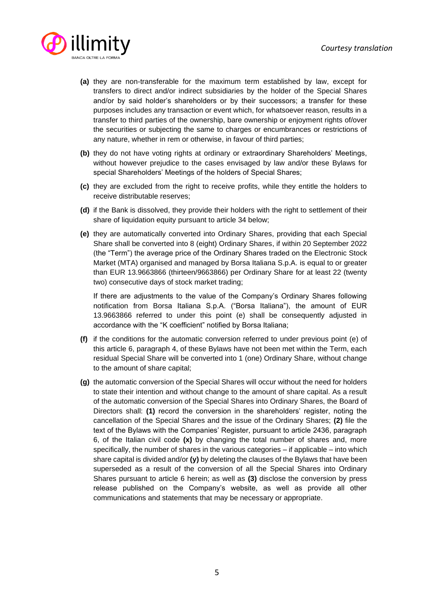

- **(a)** they are non-transferable for the maximum term established by law, except for transfers to direct and/or indirect subsidiaries by the holder of the Special Shares and/or by said holder's shareholders or by their successors; a transfer for these purposes includes any transaction or event which, for whatsoever reason, results in a transfer to third parties of the ownership, bare ownership or enjoyment rights of/over the securities or subjecting the same to charges or encumbrances or restrictions of any nature, whether in rem or otherwise, in favour of third parties;
- **(b)** they do not have voting rights at ordinary or extraordinary Shareholders' Meetings, without however prejudice to the cases envisaged by law and/or these Bylaws for special Shareholders' Meetings of the holders of Special Shares;
- **(c)** they are excluded from the right to receive profits, while they entitle the holders to receive distributable reserves;
- **(d)** if the Bank is dissolved, they provide their holders with the right to settlement of their share of liquidation equity pursuant to article 34 below;
- **(e)** they are automatically converted into Ordinary Shares, providing that each Special Share shall be converted into 8 (eight) Ordinary Shares, if within 20 September 2022 (the "Term") the average price of the Ordinary Shares traded on the Electronic Stock Market (MTA) organised and managed by Borsa Italiana S.p.A. is equal to or greater than EUR 13.9663866 (thirteen/9663866) per Ordinary Share for at least 22 (twenty two) consecutive days of stock market trading;

If there are adjustments to the value of the Company's Ordinary Shares following notification from Borsa Italiana S.p.A. ("Borsa Italiana"), the amount of EUR 13.9663866 referred to under this point (e) shall be consequently adjusted in accordance with the "K coefficient" notified by Borsa Italiana;

- **(f)** if the conditions for the automatic conversion referred to under previous point (e) of this article 6, paragraph 4, of these Bylaws have not been met within the Term, each residual Special Share will be converted into 1 (one) Ordinary Share, without change to the amount of share capital;
- **(g)** the automatic conversion of the Special Shares will occur without the need for holders to state their intention and without change to the amount of share capital. As a result of the automatic conversion of the Special Shares into Ordinary Shares, the Board of Directors shall: **(1)** record the conversion in the shareholders' register, noting the cancellation of the Special Shares and the issue of the Ordinary Shares; **(2)** file the text of the Bylaws with the Companies' Register, pursuant to article 2436, paragraph 6, of the Italian civil code **(x)** by changing the total number of shares and, more specifically, the number of shares in the various categories – if applicable – into which share capital is divided and/or **(y)** by deleting the clauses of the Bylaws that have been superseded as a result of the conversion of all the Special Shares into Ordinary Shares pursuant to article 6 herein; as well as **(3)** disclose the conversion by press release published on the Company's website, as well as provide all other communications and statements that may be necessary or appropriate.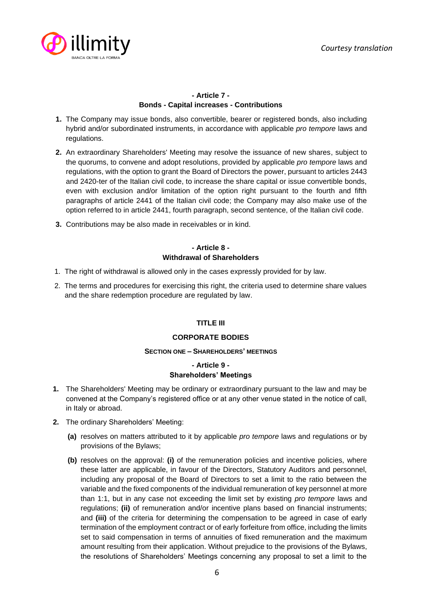

# **- Article 7 - Bonds - Capital increases - Contributions**

- **1.** The Company may issue bonds, also convertible, bearer or registered bonds, also including hybrid and/or subordinated instruments, in accordance with applicable *pro tempore* laws and regulations.
- **2.** An extraordinary Shareholders' Meeting may resolve the issuance of new shares, subject to the quorums, to convene and adopt resolutions, provided by applicable *pro tempore* laws and regulations, with the option to grant the Board of Directors the power, pursuant to articles 2443 and 2420-ter of the Italian civil code, to increase the share capital or issue convertible bonds, even with exclusion and/or limitation of the option right pursuant to the fourth and fifth paragraphs of article 2441 of the Italian civil code; the Company may also make use of the option referred to in article 2441, fourth paragraph, second sentence, of the Italian civil code.
- **3.** Contributions may be also made in receivables or in kind.

# **- Article 8 - Withdrawal of Shareholders**

- 1. The right of withdrawal is allowed only in the cases expressly provided for by law.
- 2. The terms and procedures for exercising this right, the criteria used to determine share values and the share redemption procedure are regulated by law.

## **TITLE III**

## **CORPORATE BODIES**

#### **SECTION ONE – SHAREHOLDERS' MEETINGS**

# **- Article 9 - Shareholders' Meetings**

- **1.** The Shareholders' Meeting may be ordinary or extraordinary pursuant to the law and may be convened at the Company's registered office or at any other venue stated in the notice of call, in Italy or abroad.
- **2.** The ordinary Shareholders' Meeting:
	- **(a)** resolves on matters attributed to it by applicable *pro tempore* laws and regulations or by provisions of the Bylaws;
	- **(b)** resolves on the approval: **(i)** of the remuneration policies and incentive policies, where these latter are applicable, in favour of the Directors, Statutory Auditors and personnel, including any proposal of the Board of Directors to set a limit to the ratio between the variable and the fixed components of the individual remuneration of key personnel at more than 1:1, but in any case not exceeding the limit set by existing *pro tempore* laws and regulations; **(ii)** of remuneration and/or incentive plans based on financial instruments; and **(iii)** of the criteria for determining the compensation to be agreed in case of early termination of the employment contract or of early forfeiture from office, including the limits set to said compensation in terms of annuities of fixed remuneration and the maximum amount resulting from their application. Without prejudice to the provisions of the Bylaws, the resolutions of Shareholders' Meetings concerning any proposal to set a limit to the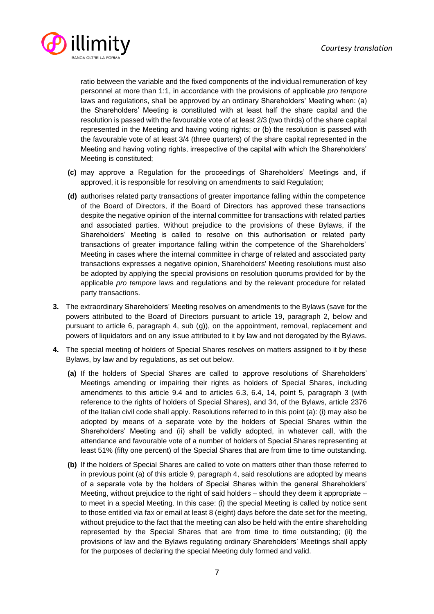

ratio between the variable and the fixed components of the individual remuneration of key personnel at more than 1:1, in accordance with the provisions of applicable *pro tempore* laws and regulations, shall be approved by an ordinary Shareholders' Meeting when: (a) the Shareholders' Meeting is constituted with at least half the share capital and the resolution is passed with the favourable vote of at least 2/3 (two thirds) of the share capital represented in the Meeting and having voting rights; or (b) the resolution is passed with the favourable vote of at least 3/4 (three quarters) of the share capital represented in the Meeting and having voting rights, irrespective of the capital with which the Shareholders' Meeting is constituted;

- **(c)** may approve a Regulation for the proceedings of Shareholders' Meetings and, if approved, it is responsible for resolving on amendments to said Regulation;
- **(d)** authorises related party transactions of greater importance falling within the competence of the Board of Directors, if the Board of Directors has approved these transactions despite the negative opinion of the internal committee for transactions with related parties and associated parties. Without prejudice to the provisions of these Bylaws, if the Shareholders' Meeting is called to resolve on this authorisation or related party transactions of greater importance falling within the competence of the Shareholders' Meeting in cases where the internal committee in charge of related and associated party transactions expresses a negative opinion, Shareholders' Meeting resolutions must also be adopted by applying the special provisions on resolution quorums provided for by the applicable *pro tempore* laws and regulations and by the relevant procedure for related party transactions.
- **3.** The extraordinary Shareholders' Meeting resolves on amendments to the Bylaws (save for the powers attributed to the Board of Directors pursuant to article 19, paragraph 2, below and pursuant to article 6, paragraph 4, sub (g)), on the appointment, removal, replacement and powers of liquidators and on any issue attributed to it by law and not derogated by the Bylaws.
- **4.** The special meeting of holders of Special Shares resolves on matters assigned to it by these Bylaws, by law and by regulations, as set out below.
	- **(a)** If the holders of Special Shares are called to approve resolutions of Shareholders' Meetings amending or impairing their rights as holders of Special Shares, including amendments to this article 9.4 and to articles 6.3, 6.4, 14, point 5, paragraph 3 (with reference to the rights of holders of Special Shares), and 34, of the Bylaws, article 2376 of the Italian civil code shall apply. Resolutions referred to in this point (a): (i) may also be adopted by means of a separate vote by the holders of Special Shares within the Shareholders' Meeting and (ii) shall be validly adopted, in whatever call, with the attendance and favourable vote of a number of holders of Special Shares representing at least 51% (fifty one percent) of the Special Shares that are from time to time outstanding.
	- **(b)** If the holders of Special Shares are called to vote on matters other than those referred to in previous point (a) of this article 9, paragraph 4, said resolutions are adopted by means of a separate vote by the holders of Special Shares within the general Shareholders' Meeting, without prejudice to the right of said holders – should they deem it appropriate – to meet in a special Meeting. In this case: (i) the special Meeting is called by notice sent to those entitled via fax or email at least 8 (eight) days before the date set for the meeting, without prejudice to the fact that the meeting can also be held with the entire shareholding represented by the Special Shares that are from time to time outstanding; (ii) the provisions of law and the Bylaws regulating ordinary Shareholders' Meetings shall apply for the purposes of declaring the special Meeting duly formed and valid.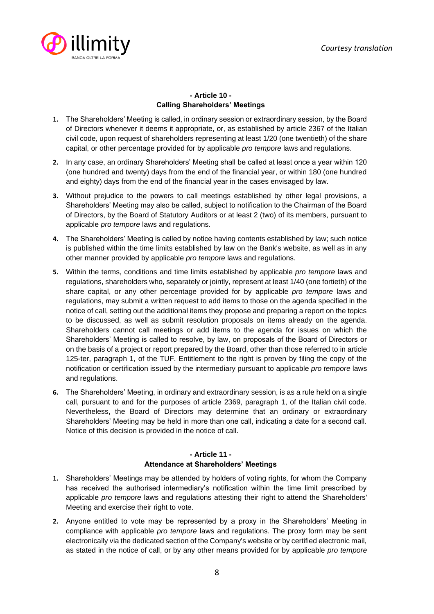

# **- Article 10 - Calling Shareholders' Meetings**

- **1.** The Shareholders' Meeting is called, in ordinary session or extraordinary session, by the Board of Directors whenever it deems it appropriate, or, as established by article 2367 of the Italian civil code, upon request of shareholders representing at least 1/20 (one twentieth) of the share capital, or other percentage provided for by applicable *pro tempore* laws and regulations.
- **2.** In any case, an ordinary Shareholders' Meeting shall be called at least once a year within 120 (one hundred and twenty) days from the end of the financial year, or within 180 (one hundred and eighty) days from the end of the financial year in the cases envisaged by law.
- **3.** Without prejudice to the powers to call meetings established by other legal provisions, a Shareholders' Meeting may also be called, subject to notification to the Chairman of the Board of Directors, by the Board of Statutory Auditors or at least 2 (two) of its members, pursuant to applicable *pro tempore* laws and regulations.
- **4.** The Shareholders' Meeting is called by notice having contents established by law; such notice is published within the time limits established by law on the Bank's website, as well as in any other manner provided by applicable *pro tempore* laws and regulations.
- **5.** Within the terms, conditions and time limits established by applicable *pro tempore* laws and regulations, shareholders who, separately or jointly, represent at least 1/40 (one fortieth) of the share capital, or any other percentage provided for by applicable *pro tempore* laws and regulations, may submit a written request to add items to those on the agenda specified in the notice of call, setting out the additional items they propose and preparing a report on the topics to be discussed, as well as submit resolution proposals on items already on the agenda. Shareholders cannot call meetings or add items to the agenda for issues on which the Shareholders' Meeting is called to resolve, by law, on proposals of the Board of Directors or on the basis of a project or report prepared by the Board, other than those referred to in article 125-ter, paragraph 1, of the TUF. Entitlement to the right is proven by filing the copy of the notification or certification issued by the intermediary pursuant to applicable *pro tempore* laws and regulations.
- **6.** The Shareholders' Meeting, in ordinary and extraordinary session, is as a rule held on a single call, pursuant to and for the purposes of article 2369, paragraph 1, of the Italian civil code. Nevertheless, the Board of Directors may determine that an ordinary or extraordinary Shareholders' Meeting may be held in more than one call, indicating a date for a second call. Notice of this decision is provided in the notice of call.

#### **- Article 11 - Attendance at Shareholders' Meetings**

- **1.** Shareholders' Meetings may be attended by holders of voting rights, for whom the Company has received the authorised intermediary's notification within the time limit prescribed by applicable *pro tempore* laws and regulations attesting their right to attend the Shareholders' Meeting and exercise their right to vote.
- **2.** Anyone entitled to vote may be represented by a proxy in the Shareholders' Meeting in compliance with applicable *pro tempore* laws and regulations. The proxy form may be sent electronically via the dedicated section of the Company's website or by certified electronic mail, as stated in the notice of call, or by any other means provided for by applicable *pro tempore*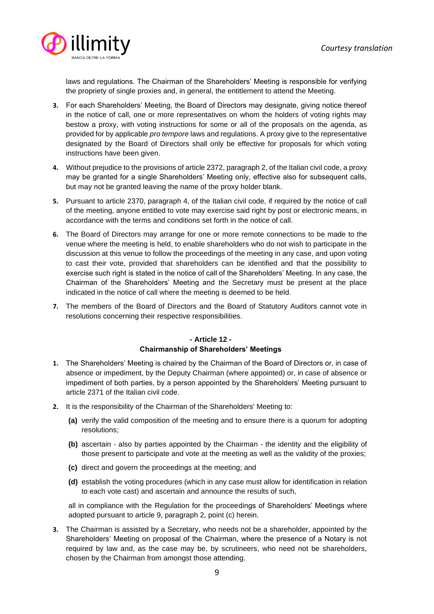

laws and regulations. The Chairman of the Shareholders' Meeting is responsible for verifying the propriety of single proxies and, in general, the entitlement to attend the Meeting.

- **3.** For each Shareholders' Meeting, the Board of Directors may designate, giving notice thereof in the notice of call, one or more representatives on whom the holders of voting rights may bestow a proxy, with voting instructions for some or all of the proposals on the agenda, as provided for by applicable *pro tempore* laws and regulations. A proxy give to the representative designated by the Board of Directors shall only be effective for proposals for which voting instructions have been given.
- **4.** Without prejudice to the provisions of article 2372, paragraph 2, of the Italian civil code, a proxy may be granted for a single Shareholders' Meeting only, effective also for subsequent calls, but may not be granted leaving the name of the proxy holder blank.
- **5.** Pursuant to article 2370, paragraph 4, of the Italian civil code, if required by the notice of call of the meeting, anyone entitled to vote may exercise said right by post or electronic means, in accordance with the terms and conditions set forth in the notice of call.
- **6.** The Board of Directors may arrange for one or more remote connections to be made to the venue where the meeting is held, to enable shareholders who do not wish to participate in the discussion at this venue to follow the proceedings of the meeting in any case, and upon voting to cast their vote, provided that shareholders can be identified and that the possibility to exercise such right is stated in the notice of call of the Shareholders' Meeting. In any case, the Chairman of the Shareholders' Meeting and the Secretary must be present at the place indicated in the notice of call where the meeting is deemed to be held.
- **7.** The members of the Board of Directors and the Board of Statutory Auditors cannot vote in resolutions concerning their respective responsibilities.

#### **- Article 12 - Chairmanship of Shareholders' Meetings**

- **1.** The Shareholders' Meeting is chaired by the Chairman of the Board of Directors or, in case of absence or impediment, by the Deputy Chairman (where appointed) or, in case of absence or impediment of both parties, by a person appointed by the Shareholders' Meeting pursuant to article 2371 of the Italian civil code.
- **2.** It is the responsibility of the Chairman of the Shareholders' Meeting to:
	- **(a)** verify the valid composition of the meeting and to ensure there is a quorum for adopting resolutions;
	- **(b)** ascertain also by parties appointed by the Chairman the identity and the eligibility of those present to participate and vote at the meeting as well as the validity of the proxies;
	- **(c)** direct and govern the proceedings at the meeting; and
	- **(d)** establish the voting procedures (which in any case must allow for identification in relation to each vote cast) and ascertain and announce the results of such,

all in compliance with the Regulation for the proceedings of Shareholders' Meetings where adopted pursuant to article 9, paragraph 2, point (c) herein.

**3.** The Chairman is assisted by a Secretary, who needs not be a shareholder, appointed by the Shareholders' Meeting on proposal of the Chairman, where the presence of a Notary is not required by law and, as the case may be, by scrutineers, who need not be shareholders, chosen by the Chairman from amongst those attending.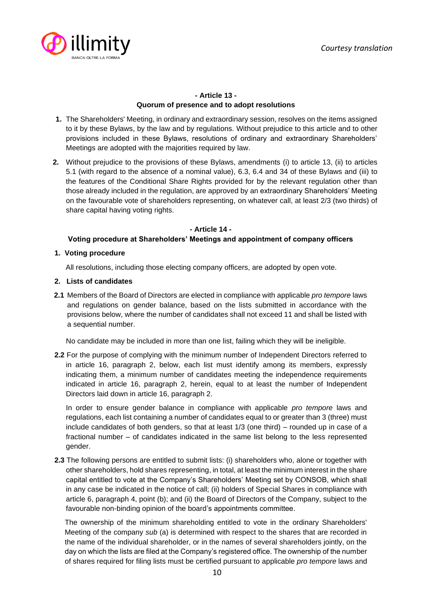

# **- Article 13 - Quorum of presence and to adopt resolutions**

- **1.** The Shareholders' Meeting, in ordinary and extraordinary session, resolves on the items assigned to it by these Bylaws, by the law and by regulations. Without prejudice to this article and to other provisions included in these Bylaws, resolutions of ordinary and extraordinary Shareholders' Meetings are adopted with the majorities required by law.
- **2.** Without prejudice to the provisions of these Bylaws, amendments (i) to article 13, (ii) to articles 5.1 (with regard to the absence of a nominal value), 6.3, 6.4 and 34 of these Bylaws and (iii) to the features of the Conditional Share Rights provided for by the relevant regulation other than those already included in the regulation, are approved by an extraordinary Shareholders' Meeting on the favourable vote of shareholders representing, on whatever call, at least 2/3 (two thirds) of share capital having voting rights.

#### **- Article 14 -**

# **Voting procedure at Shareholders' Meetings and appointment of company officers**

## **1. Voting procedure**

All resolutions, including those electing company officers, are adopted by open vote.

## **2. Lists of candidates**

**2.1** Members of the Board of Directors are elected in compliance with applicable *pro tempore* laws and regulations on gender balance, based on the lists submitted in accordance with the provisions below, where the number of candidates shall not exceed 11 and shall be listed with a sequential number.

No candidate may be included in more than one list, failing which they will be ineligible.

**2.2** For the purpose of complying with the minimum number of Independent Directors referred to in article 16, paragraph 2, below, each list must identify among its members, expressly indicating them, a minimum number of candidates meeting the independence requirements indicated in article 16, paragraph 2, herein, equal to at least the number of Independent Directors laid down in article 16, paragraph 2.

In order to ensure gender balance in compliance with applicable *pro tempore* laws and regulations, each list containing a number of candidates equal to or greater than 3 (three) must include candidates of both genders, so that at least 1/3 (one third) – rounded up in case of a fractional number – of candidates indicated in the same list belong to the less represented gender.

**2.3** The following persons are entitled to submit lists: (i) shareholders who, alone or together with other shareholders, hold shares representing, in total, at least the minimum interest in the share capital entitled to vote at the Company's Shareholders' Meeting set by CONSOB, which shall in any case be indicated in the notice of call; (ii) holders of Special Shares in compliance with article 6, paragraph 4, point (b); and (ii) the Board of Directors of the Company, subject to the favourable non-binding opinion of the board's appointments committee.

The ownership of the minimum shareholding entitled to vote in the ordinary Shareholders' Meeting of the company *sub* (a) is determined with respect to the shares that are recorded in the name of the individual shareholder, or in the names of several shareholders jointly, on the day on which the lists are filed at the Company's registered office. The ownership of the number of shares required for filing lists must be certified pursuant to applicable *pro tempore* laws and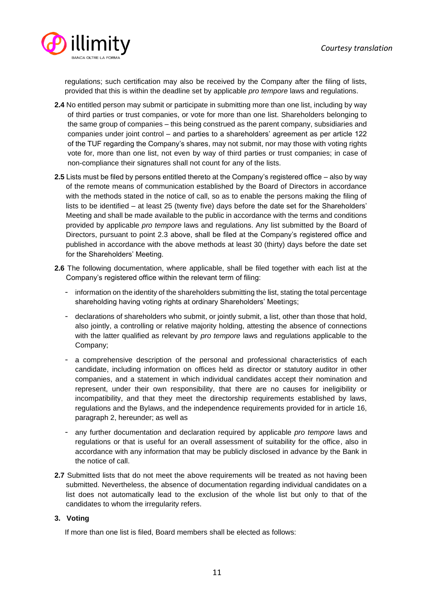

regulations; such certification may also be received by the Company after the filing of lists, provided that this is within the deadline set by applicable *pro tempore* laws and regulations.

- **2.4** No entitled person may submit or participate in submitting more than one list, including by way of third parties or trust companies, or vote for more than one list. Shareholders belonging to the same group of companies – this being construed as the parent company, subsidiaries and companies under joint control – and parties to a shareholders' agreement as per article 122 of the TUF regarding the Company's shares, may not submit, nor may those with voting rights vote for, more than one list, not even by way of third parties or trust companies; in case of non-compliance their signatures shall not count for any of the lists.
- **2.5** Lists must be filed by persons entitled thereto at the Company's registered office also by way of the remote means of communication established by the Board of Directors in accordance with the methods stated in the notice of call, so as to enable the persons making the filing of lists to be identified – at least 25 (twenty five) days before the date set for the Shareholders' Meeting and shall be made available to the public in accordance with the terms and conditions provided by applicable *pro tempore* laws and regulations. Any list submitted by the Board of Directors, pursuant to point 2.3 above, shall be filed at the Company's registered office and published in accordance with the above methods at least 30 (thirty) days before the date set for the Shareholders' Meeting.
- **2.6** The following documentation, where applicable, shall be filed together with each list at the Company's registered office within the relevant term of filing:
	- information on the identity of the shareholders submitting the list, stating the total percentage shareholding having voting rights at ordinary Shareholders' Meetings;
	- declarations of shareholders who submit, or jointly submit, a list, other than those that hold, also jointly, a controlling or relative majority holding, attesting the absence of connections with the latter qualified as relevant by *pro tempore* laws and regulations applicable to the Company;
	- a comprehensive description of the personal and professional characteristics of each candidate, including information on offices held as director or statutory auditor in other companies, and a statement in which individual candidates accept their nomination and represent, under their own responsibility, that there are no causes for ineligibility or incompatibility, and that they meet the directorship requirements established by laws, regulations and the Bylaws, and the independence requirements provided for in article 16, paragraph 2, hereunder; as well as
	- any further documentation and declaration required by applicable *pro tempore* laws and regulations or that is useful for an overall assessment of suitability for the office, also in accordance with any information that may be publicly disclosed in advance by the Bank in the notice of call.
- **2.7** Submitted lists that do not meet the above requirements will be treated as not having been submitted. Nevertheless, the absence of documentation regarding individual candidates on a list does not automatically lead to the exclusion of the whole list but only to that of the candidates to whom the irregularity refers.

## **3. Voting**

If more than one list is filed, Board members shall be elected as follows: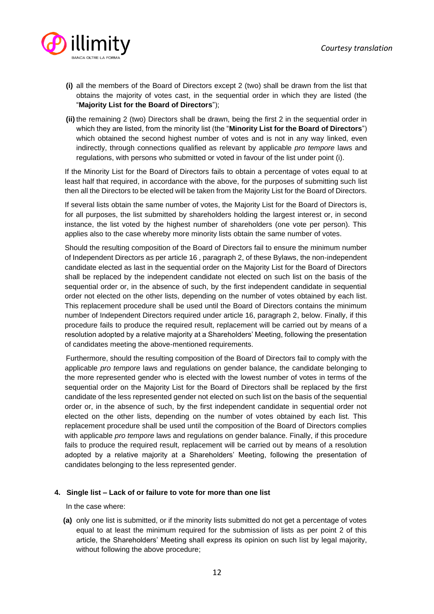

- **(i)** all the members of the Board of Directors except 2 (two) shall be drawn from the list that obtains the majority of votes cast, in the sequential order in which they are listed (the "**Majority List for the Board of Directors**");
- **(ii)** the remaining 2 (two) Directors shall be drawn, being the first 2 in the sequential order in which they are listed, from the minority list (the "**Minority List for the Board of Directors**") which obtained the second highest number of votes and is not in any way linked, even indirectly, through connections qualified as relevant by applicable *pro tempore* laws and regulations, with persons who submitted or voted in favour of the list under point (i).

If the Minority List for the Board of Directors fails to obtain a percentage of votes equal to at least half that required, in accordance with the above, for the purposes of submitting such list then all the Directors to be elected will be taken from the Majority List for the Board of Directors.

If several lists obtain the same number of votes, the Majority List for the Board of Directors is, for all purposes, the list submitted by shareholders holding the largest interest or, in second instance, the list voted by the highest number of shareholders (one vote per person). This applies also to the case whereby more minority lists obtain the same number of votes.

Should the resulting composition of the Board of Directors fail to ensure the minimum number of Independent Directors as per article 16 , paragraph 2, of these Bylaws, the non-independent candidate elected as last in the sequential order on the Majority List for the Board of Directors shall be replaced by the independent candidate not elected on such list on the basis of the sequential order or, in the absence of such, by the first independent candidate in sequential order not elected on the other lists, depending on the number of votes obtained by each list. This replacement procedure shall be used until the Board of Directors contains the minimum number of Independent Directors required under article 16, paragraph 2, below. Finally, if this procedure fails to produce the required result, replacement will be carried out by means of a resolution adopted by a relative majority at a Shareholders' Meeting, following the presentation of candidates meeting the above-mentioned requirements.

Furthermore, should the resulting composition of the Board of Directors fail to comply with the applicable *pro tempore* laws and regulations on gender balance, the candidate belonging to the more represented gender who is elected with the lowest number of votes in terms of the sequential order on the Majority List for the Board of Directors shall be replaced by the first candidate of the less represented gender not elected on such list on the basis of the sequential order or, in the absence of such, by the first independent candidate in sequential order not elected on the other lists, depending on the number of votes obtained by each list. This replacement procedure shall be used until the composition of the Board of Directors complies with applicable *pro tempore* laws and regulations on gender balance. Finally, if this procedure fails to produce the required result, replacement will be carried out by means of a resolution adopted by a relative majority at a Shareholders' Meeting, following the presentation of candidates belonging to the less represented gender.

#### **4. Single list – Lack of or failure to vote for more than one list**

In the case where:

**(a)** only one list is submitted, or if the minority lists submitted do not get a percentage of votes equal to at least the minimum required for the submission of lists as per point 2 of this article, the Shareholders' Meeting shall express its opinion on such list by legal majority, without following the above procedure;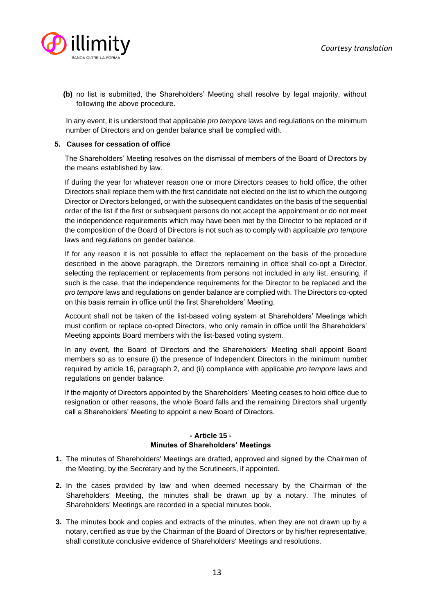

**(b)** no list is submitted, the Shareholders' Meeting shall resolve by legal majority, without following the above procedure.

In any event, it is understood that applicable *pro tempore* laws and regulations on the minimum number of Directors and on gender balance shall be complied with.

#### **5. Causes for cessation of office**

The Shareholders' Meeting resolves on the dismissal of members of the Board of Directors by the means established by law.

If during the year for whatever reason one or more Directors ceases to hold office, the other Directors shall replace them with the first candidate not elected on the list to which the outgoing Director or Directors belonged, or with the subsequent candidates on the basis of the sequential order of the list if the first or subsequent persons do not accept the appointment or do not meet the independence requirements which may have been met by the Director to be replaced or if the composition of the Board of Directors is not such as to comply with applicable *pro tempore* laws and regulations on gender balance.

If for any reason it is not possible to effect the replacement on the basis of the procedure described in the above paragraph, the Directors remaining in office shall co-opt a Director, selecting the replacement or replacements from persons not included in any list, ensuring, if such is the case, that the independence requirements for the Director to be replaced and the *pro tempore* laws and regulations on gender balance are complied with. The Directors co-opted on this basis remain in office until the first Shareholders' Meeting.

Account shall not be taken of the list-based voting system at Shareholders' Meetings which must confirm or replace co-opted Directors, who only remain in office until the Shareholders' Meeting appoints Board members with the list-based voting system.

In any event, the Board of Directors and the Shareholders' Meeting shall appoint Board members so as to ensure (i) the presence of Independent Directors in the minimum number required by article 16, paragraph 2, and (ii) compliance with applicable *pro tempore* laws and regulations on gender balance.

If the majority of Directors appointed by the Shareholders' Meeting ceases to hold office due to resignation or other reasons, the whole Board falls and the remaining Directors shall urgently call a Shareholders' Meeting to appoint a new Board of Directors.

## **- Article 15 - Minutes of Shareholders' Meetings**

- **1.** The minutes of Shareholders' Meetings are drafted, approved and signed by the Chairman of the Meeting, by the Secretary and by the Scrutineers, if appointed.
- **2.** In the cases provided by law and when deemed necessary by the Chairman of the Shareholders' Meeting, the minutes shall be drawn up by a notary. The minutes of Shareholders' Meetings are recorded in a special minutes book.
- **3.** The minutes book and copies and extracts of the minutes, when they are not drawn up by a notary, certified as true by the Chairman of the Board of Directors or by his/her representative, shall constitute conclusive evidence of Shareholders' Meetings and resolutions.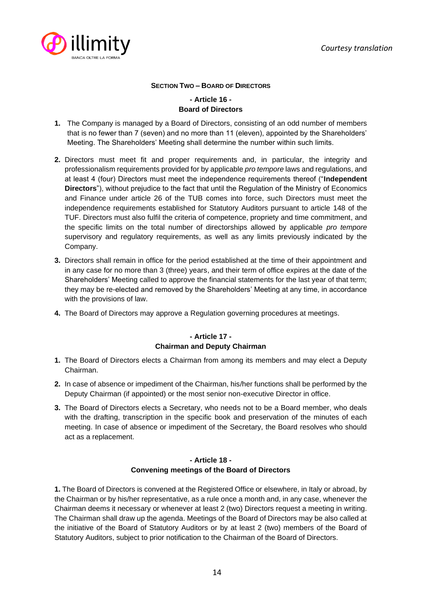

## **SECTION TWO – BOARD OF DIRECTORS**

# **- Article 16 - Board of Directors**

- **1.** The Company is managed by a Board of Directors, consisting of an odd number of members that is no fewer than 7 (seven) and no more than 11 (eleven), appointed by the Shareholders' Meeting. The Shareholders' Meeting shall determine the number within such limits.
- **2.** Directors must meet fit and proper requirements and, in particular, the integrity and professionalism requirements provided for by applicable *pro tempore* laws and regulations, and at least 4 (four) Directors must meet the independence requirements thereof ("**Independent Directors**"), without prejudice to the fact that until the Regulation of the Ministry of Economics and Finance under article 26 of the TUB comes into force, such Directors must meet the independence requirements established for Statutory Auditors pursuant to article 148 of the TUF. Directors must also fulfil the criteria of competence, propriety and time commitment, and the specific limits on the total number of directorships allowed by applicable *pro tempore* supervisory and regulatory requirements, as well as any limits previously indicated by the Company.
- **3.** Directors shall remain in office for the period established at the time of their appointment and in any case for no more than 3 (three) years, and their term of office expires at the date of the Shareholders' Meeting called to approve the financial statements for the last year of that term; they may be re-elected and removed by the Shareholders' Meeting at any time, in accordance with the provisions of law.
- **4.** The Board of Directors may approve a Regulation governing procedures at meetings.

# **- Article 17 - Chairman and Deputy Chairman**

- **1.** The Board of Directors elects a Chairman from among its members and may elect a Deputy Chairman.
- **2.** In case of absence or impediment of the Chairman, his/her functions shall be performed by the Deputy Chairman (if appointed) or the most senior non-executive Director in office.
- **3.** The Board of Directors elects a Secretary, who needs not to be a Board member, who deals with the drafting, transcription in the specific book and preservation of the minutes of each meeting. In case of absence or impediment of the Secretary, the Board resolves who should act as a replacement.

# **- Article 18 - Convening meetings of the Board of Directors**

**1.** The Board of Directors is convened at the Registered Office or elsewhere, in Italy or abroad, by the Chairman or by his/her representative, as a rule once a month and, in any case, whenever the Chairman deems it necessary or whenever at least 2 (two) Directors request a meeting in writing. The Chairman shall draw up the agenda. Meetings of the Board of Directors may be also called at the initiative of the Board of Statutory Auditors or by at least 2 (two) members of the Board of Statutory Auditors, subject to prior notification to the Chairman of the Board of Directors.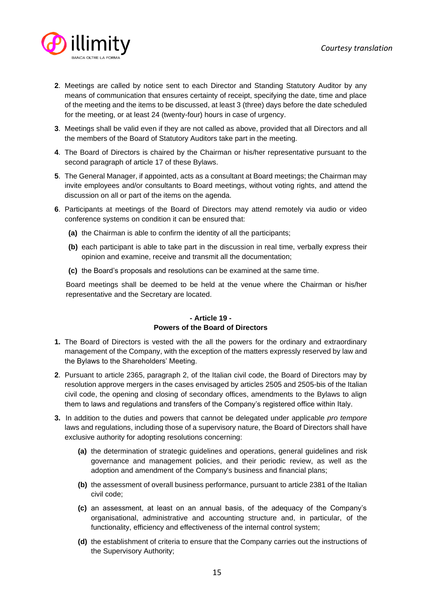

- **2**. Meetings are called by notice sent to each Director and Standing Statutory Auditor by any means of communication that ensures certainty of receipt, specifying the date, time and place of the meeting and the items to be discussed, at least 3 (three) days before the date scheduled for the meeting, or at least 24 (twenty-four) hours in case of urgency.
- **3**. Meetings shall be valid even if they are not called as above, provided that all Directors and all the members of the Board of Statutory Auditors take part in the meeting.
- **4**. The Board of Directors is chaired by the Chairman or his/her representative pursuant to the second paragraph of article 17 of these Bylaws.
- **5**. The General Manager, if appointed, acts as a consultant at Board meetings; the Chairman may invite employees and/or consultants to Board meetings, without voting rights, and attend the discussion on all or part of the items on the agenda.
- **6**. Participants at meetings of the Board of Directors may attend remotely via audio or video conference systems on condition it can be ensured that:
	- **(a)** the Chairman is able to confirm the identity of all the participants;
	- **(b)** each participant is able to take part in the discussion in real time, verbally express their opinion and examine, receive and transmit all the documentation;
	- **(c)** the Board's proposals and resolutions can be examined at the same time.

Board meetings shall be deemed to be held at the venue where the Chairman or his/her representative and the Secretary are located.

# **- Article 19 - Powers of the Board of Directors**

- **1.** The Board of Directors is vested with the all the powers for the ordinary and extraordinary management of the Company, with the exception of the matters expressly reserved by law and the Bylaws to the Shareholders' Meeting.
- **2**. Pursuant to article 2365, paragraph 2, of the Italian civil code, the Board of Directors may by resolution approve mergers in the cases envisaged by articles 2505 and 2505-bis of the Italian civil code, the opening and closing of secondary offices, amendments to the Bylaws to align them to laws and regulations and transfers of the Company's registered office within Italy.
- **3.** In addition to the duties and powers that cannot be delegated under applicable *pro tempore* laws and regulations, including those of a supervisory nature, the Board of Directors shall have exclusive authority for adopting resolutions concerning:
	- **(a)** the determination of strategic guidelines and operations, general guidelines and risk governance and management policies, and their periodic review, as well as the adoption and amendment of the Company's business and financial plans;
	- **(b)** the assessment of overall business performance, pursuant to article 2381 of the Italian civil code;
	- **(c)** an assessment, at least on an annual basis, of the adequacy of the Company's organisational, administrative and accounting structure and, in particular, of the functionality, efficiency and effectiveness of the internal control system;
	- **(d)** the establishment of criteria to ensure that the Company carries out the instructions of the Supervisory Authority;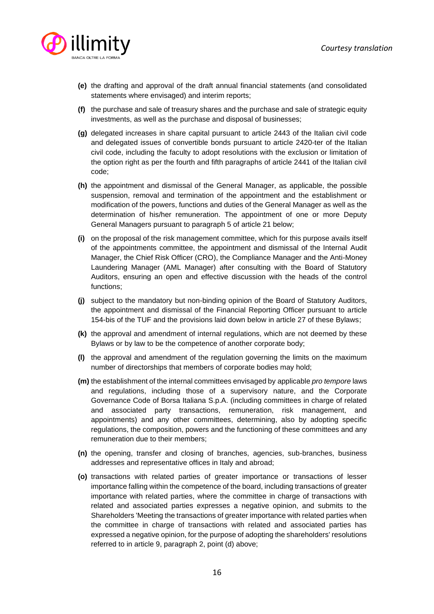

- **(e)** the drafting and approval of the draft annual financial statements (and consolidated statements where envisaged) and interim reports;
- **(f)** the purchase and sale of treasury shares and the purchase and sale of strategic equity investments, as well as the purchase and disposal of businesses;
- **(g)** delegated increases in share capital pursuant to article 2443 of the Italian civil code and delegated issues of convertible bonds pursuant to article 2420-ter of the Italian civil code, including the faculty to adopt resolutions with the exclusion or limitation of the option right as per the fourth and fifth paragraphs of article 2441 of the Italian civil code;
- **(h)** the appointment and dismissal of the General Manager, as applicable, the possible suspension, removal and termination of the appointment and the establishment or modification of the powers, functions and duties of the General Manager as well as the determination of his/her remuneration. The appointment of one or more Deputy General Managers pursuant to paragraph 5 of article 21 below;
- **(i)** on the proposal of the risk management committee, which for this purpose avails itself of the appointments committee, the appointment and dismissal of the Internal Audit Manager, the Chief Risk Officer (CRO), the Compliance Manager and the Anti-Money Laundering Manager (AML Manager) after consulting with the Board of Statutory Auditors, ensuring an open and effective discussion with the heads of the control functions;
- **(j)** subject to the mandatory but non-binding opinion of the Board of Statutory Auditors, the appointment and dismissal of the Financial Reporting Officer pursuant to article 154-bis of the TUF and the provisions laid down below in article 27 of these Bylaws;
- **(k)** the approval and amendment of internal regulations, which are not deemed by these Bylaws or by law to be the competence of another corporate body;
- **(l)** the approval and amendment of the regulation governing the limits on the maximum number of directorships that members of corporate bodies may hold;
- **(m)** the establishment of the internal committees envisaged by applicable *pro tempore* laws and regulations, including those of a supervisory nature, and the Corporate Governance Code of Borsa Italiana S.p.A. (including committees in charge of related and associated party transactions, remuneration, risk management, and appointments) and any other committees, determining, also by adopting specific regulations, the composition, powers and the functioning of these committees and any remuneration due to their members;
- **(n)** the opening, transfer and closing of branches, agencies, sub-branches, business addresses and representative offices in Italy and abroad;
- **(o)** transactions with related parties of greater importance or transactions of lesser importance falling within the competence of the board, including transactions of greater importance with related parties, where the committee in charge of transactions with related and associated parties expresses a negative opinion, and submits to the Shareholders 'Meeting the transactions of greater importance with related parties when the committee in charge of transactions with related and associated parties has expressed a negative opinion, for the purpose of adopting the shareholders' resolutions referred to in article 9, paragraph 2, point (d) above;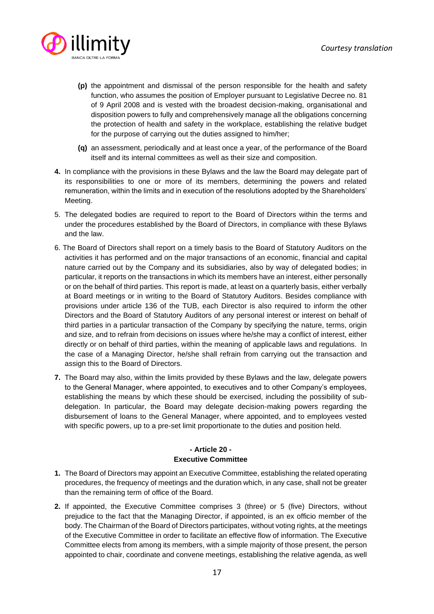

- **(p)** the appointment and dismissal of the person responsible for the health and safety function, who assumes the position of Employer pursuant to Legislative Decree no. 81 of 9 April 2008 and is vested with the broadest decision-making, organisational and disposition powers to fully and comprehensively manage all the obligations concerning the protection of health and safety in the workplace, establishing the relative budget for the purpose of carrying out the duties assigned to him/her;
- **(q)** an assessment, periodically and at least once a year, of the performance of the Board itself and its internal committees as well as their size and composition.
- **4.** In compliance with the provisions in these Bylaws and the law the Board may delegate part of its responsibilities to one or more of its members, determining the powers and related remuneration, within the limits and in execution of the resolutions adopted by the Shareholders' Meeting.
- 5. The delegated bodies are required to report to the Board of Directors within the terms and under the procedures established by the Board of Directors, in compliance with these Bylaws and the law.
- 6. The Board of Directors shall report on a timely basis to the Board of Statutory Auditors on the activities it has performed and on the major transactions of an economic, financial and capital nature carried out by the Company and its subsidiaries, also by way of delegated bodies; in particular, it reports on the transactions in which its members have an interest, either personally or on the behalf of third parties. This report is made, at least on a quarterly basis, either verbally at Board meetings or in writing to the Board of Statutory Auditors. Besides compliance with provisions under article 136 of the TUB, each Director is also required to inform the other Directors and the Board of Statutory Auditors of any personal interest or interest on behalf of third parties in a particular transaction of the Company by specifying the nature, terms, origin and size, and to refrain from decisions on issues where he/she may a conflict of interest, either directly or on behalf of third parties, within the meaning of applicable laws and regulations. In the case of a Managing Director, he/she shall refrain from carrying out the transaction and assign this to the Board of Directors.
- **7.** The Board may also, within the limits provided by these Bylaws and the law, delegate powers to the General Manager, where appointed, to executives and to other Company's employees, establishing the means by which these should be exercised, including the possibility of subdelegation. In particular, the Board may delegate decision-making powers regarding the disbursement of loans to the General Manager, where appointed, and to employees vested with specific powers, up to a pre-set limit proportionate to the duties and position held.

# **- Article 20 - Executive Committee**

- **1.** The Board of Directors may appoint an Executive Committee, establishing the related operating procedures, the frequency of meetings and the duration which, in any case, shall not be greater than the remaining term of office of the Board.
- **2.** If appointed, the Executive Committee comprises 3 (three) or 5 (five) Directors, without prejudice to the fact that the Managing Director, if appointed, is an ex officio member of the body. The Chairman of the Board of Directors participates, without voting rights, at the meetings of the Executive Committee in order to facilitate an effective flow of information. The Executive Committee elects from among its members, with a simple majority of those present, the person appointed to chair, coordinate and convene meetings, establishing the relative agenda, as well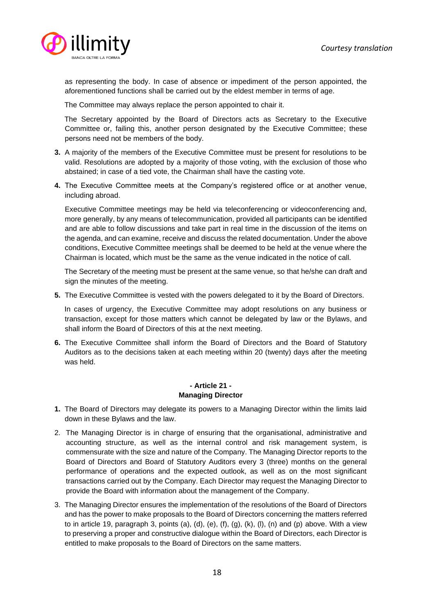

as representing the body. In case of absence or impediment of the person appointed, the aforementioned functions shall be carried out by the eldest member in terms of age.

The Committee may always replace the person appointed to chair it.

 The Secretary appointed by the Board of Directors acts as Secretary to the Executive Committee or, failing this, another person designated by the Executive Committee; these persons need not be members of the body.

- **3.** A majority of the members of the Executive Committee must be present for resolutions to be valid. Resolutions are adopted by a majority of those voting, with the exclusion of those who abstained; in case of a tied vote, the Chairman shall have the casting vote.
- **4.** The Executive Committee meets at the Company's registered office or at another venue, including abroad.

Executive Committee meetings may be held via teleconferencing or videoconferencing and, more generally, by any means of telecommunication, provided all participants can be identified and are able to follow discussions and take part in real time in the discussion of the items on the agenda, and can examine, receive and discuss the related documentation. Under the above conditions, Executive Committee meetings shall be deemed to be held at the venue where the Chairman is located, which must be the same as the venue indicated in the notice of call.

 The Secretary of the meeting must be present at the same venue, so that he/she can draft and sign the minutes of the meeting.

**5.** The Executive Committee is vested with the powers delegated to it by the Board of Directors.

 In cases of urgency, the Executive Committee may adopt resolutions on any business or transaction, except for those matters which cannot be delegated by law or the Bylaws, and shall inform the Board of Directors of this at the next meeting.

**6.** The Executive Committee shall inform the Board of Directors and the Board of Statutory Auditors as to the decisions taken at each meeting within 20 (twenty) days after the meeting was held.

## **- Article 21 - Managing Director**

- **1.** The Board of Directors may delegate its powers to a Managing Director within the limits laid down in these Bylaws and the law.
- 2. The Managing Director is in charge of ensuring that the organisational, administrative and accounting structure, as well as the internal control and risk management system, is commensurate with the size and nature of the Company. The Managing Director reports to the Board of Directors and Board of Statutory Auditors every 3 (three) months on the general performance of operations and the expected outlook, as well as on the most significant transactions carried out by the Company. Each Director may request the Managing Director to provide the Board with information about the management of the Company.
- 3. The Managing Director ensures the implementation of the resolutions of the Board of Directors and has the power to make proposals to the Board of Directors concerning the matters referred to in article 19, paragraph 3, points (a), (d), (e), (f), (g), (k), (l), (n) and (p) above. With a view to preserving a proper and constructive dialogue within the Board of Directors, each Director is entitled to make proposals to the Board of Directors on the same matters.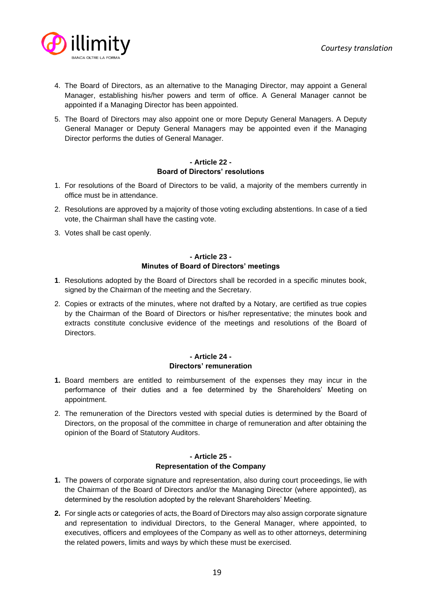

- 4. The Board of Directors, as an alternative to the Managing Director, may appoint a General Manager, establishing his/her powers and term of office. A General Manager cannot be appointed if a Managing Director has been appointed.
- 5. The Board of Directors may also appoint one or more Deputy General Managers. A Deputy General Manager or Deputy General Managers may be appointed even if the Managing Director performs the duties of General Manager.

# **- Article 22 - Board of Directors' resolutions**

- 1. For resolutions of the Board of Directors to be valid, a majority of the members currently in office must be in attendance.
- 2. Resolutions are approved by a majority of those voting excluding abstentions. In case of a tied vote, the Chairman shall have the casting vote.
- 3. Votes shall be cast openly.

# **- Article 23 - Minutes of Board of Directors' meetings**

- **1**. Resolutions adopted by the Board of Directors shall be recorded in a specific minutes book, signed by the Chairman of the meeting and the Secretary.
- 2. Copies or extracts of the minutes, where not drafted by a Notary, are certified as true copies by the Chairman of the Board of Directors or his/her representative; the minutes book and extracts constitute conclusive evidence of the meetings and resolutions of the Board of Directors.

## **- Article 24 - Directors' remuneration**

- **1.** Board members are entitled to reimbursement of the expenses they may incur in the performance of their duties and a fee determined by the Shareholders' Meeting on appointment.
- 2. The remuneration of the Directors vested with special duties is determined by the Board of Directors, on the proposal of the committee in charge of remuneration and after obtaining the opinion of the Board of Statutory Auditors.

#### **- Article 25 - Representation of the Company**

- **1.** The powers of corporate signature and representation, also during court proceedings, lie with the Chairman of the Board of Directors and/or the Managing Director (where appointed), as determined by the resolution adopted by the relevant Shareholders' Meeting.
- **2.** For single acts or categories of acts, the Board of Directors may also assign corporate signature and representation to individual Directors, to the General Manager, where appointed, to executives, officers and employees of the Company as well as to other attorneys, determining the related powers, limits and ways by which these must be exercised.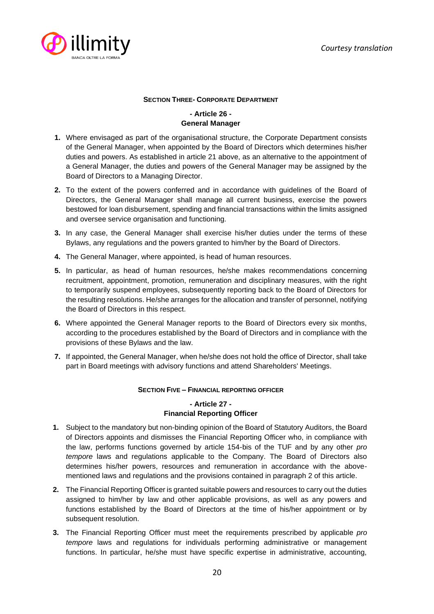

## **SECTION THREE- CORPORATE DEPARTMENT**

# **- Article 26 - General Manager**

- **1.** Where envisaged as part of the organisational structure, the Corporate Department consists of the General Manager, when appointed by the Board of Directors which determines his/her duties and powers. As established in article 21 above, as an alternative to the appointment of a General Manager, the duties and powers of the General Manager may be assigned by the Board of Directors to a Managing Director.
- **2.** To the extent of the powers conferred and in accordance with guidelines of the Board of Directors, the General Manager shall manage all current business, exercise the powers bestowed for loan disbursement, spending and financial transactions within the limits assigned and oversee service organisation and functioning.
- **3.** In any case, the General Manager shall exercise his/her duties under the terms of these Bylaws, any regulations and the powers granted to him/her by the Board of Directors.
- **4.** The General Manager, where appointed, is head of human resources.
- **5.** In particular, as head of human resources, he/she makes recommendations concerning recruitment, appointment, promotion, remuneration and disciplinary measures, with the right to temporarily suspend employees, subsequently reporting back to the Board of Directors for the resulting resolutions. He/she arranges for the allocation and transfer of personnel, notifying the Board of Directors in this respect.
- **6.** Where appointed the General Manager reports to the Board of Directors every six months, according to the procedures established by the Board of Directors and in compliance with the provisions of these Bylaws and the law.
- **7.** If appointed, the General Manager, when he/she does not hold the office of Director, shall take part in Board meetings with advisory functions and attend Shareholders' Meetings.

#### **SECTION FIVE – FINANCIAL REPORTING OFFICER**

## **- Article 27 - Financial Reporting Officer**

- **1.** Subject to the mandatory but non-binding opinion of the Board of Statutory Auditors, the Board of Directors appoints and dismisses the Financial Reporting Officer who, in compliance with the law, performs functions governed by article 154-bis of the TUF and by any other *pro tempore* laws and regulations applicable to the Company. The Board of Directors also determines his/her powers, resources and remuneration in accordance with the abovementioned laws and regulations and the provisions contained in paragraph 2 of this article.
- **2.** The Financial Reporting Officer is granted suitable powers and resources to carry out the duties assigned to him/her by law and other applicable provisions, as well as any powers and functions established by the Board of Directors at the time of his/her appointment or by subsequent resolution.
- **3.** The Financial Reporting Officer must meet the requirements prescribed by applicable *pro tempore* laws and regulations for individuals performing administrative or management functions. In particular, he/she must have specific expertise in administrative, accounting,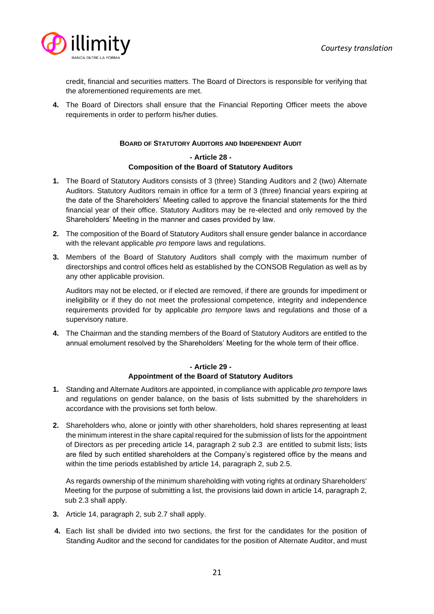

credit, financial and securities matters. The Board of Directors is responsible for verifying that the aforementioned requirements are met.

**4.** The Board of Directors shall ensure that the Financial Reporting Officer meets the above requirements in order to perform his/her duties.

#### **BOARD OF STATUTORY AUDITORS AND INDEPENDENT AUDIT**

## **- Article 28 - Composition of the Board of Statutory Auditors**

- **1.** The Board of Statutory Auditors consists of 3 (three) Standing Auditors and 2 (two) Alternate Auditors. Statutory Auditors remain in office for a term of 3 (three) financial years expiring at the date of the Shareholders' Meeting called to approve the financial statements for the third financial year of their office. Statutory Auditors may be re-elected and only removed by the Shareholders' Meeting in the manner and cases provided by law.
- **2.** The composition of the Board of Statutory Auditors shall ensure gender balance in accordance with the relevant applicable *pro tempore* laws and regulations.
- **3.** Members of the Board of Statutory Auditors shall comply with the maximum number of directorships and control offices held as established by the CONSOB Regulation as well as by any other applicable provision.

Auditors may not be elected, or if elected are removed, if there are grounds for impediment or ineligibility or if they do not meet the professional competence, integrity and independence requirements provided for by applicable *pro tempore* laws and regulations and those of a supervisory nature.

**4.** The Chairman and the standing members of the Board of Statutory Auditors are entitled to the annual emolument resolved by the Shareholders' Meeting for the whole term of their office.

#### **- Article 29 - Appointment of the Board of Statutory Auditors**

- **1.** Standing and Alternate Auditors are appointed, in compliance with applicable *pro tempore* laws and regulations on gender balance, on the basis of lists submitted by the shareholders in accordance with the provisions set forth below.
- **2.** Shareholders who, alone or jointly with other shareholders, hold shares representing at least the minimum interest in the share capital required for the submission of lists for the appointment of Directors as per preceding article 14, paragraph 2 sub 2.3 are entitled to submit lists; lists are filed by such entitled shareholders at the Company's registered office by the means and within the time periods established by article 14, paragraph 2, sub 2.5.

As regards ownership of the minimum shareholding with voting rights at ordinary Shareholders' Meeting for the purpose of submitting a list, the provisions laid down in article 14, paragraph 2, sub 2.3 shall apply.

- **3.** Article 14, paragraph 2, sub 2.7 shall apply.
- **4.** Each list shall be divided into two sections, the first for the candidates for the position of Standing Auditor and the second for candidates for the position of Alternate Auditor, and must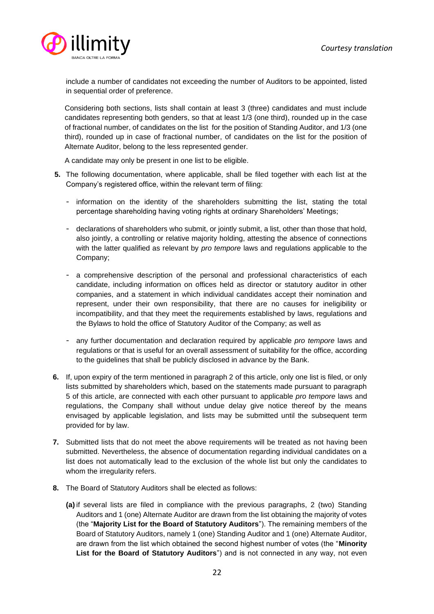

include a number of candidates not exceeding the number of Auditors to be appointed, listed in sequential order of preference.

Considering both sections, lists shall contain at least 3 (three) candidates and must include candidates representing both genders, so that at least 1/3 (one third), rounded up in the case of fractional number, of candidates on the list for the position of Standing Auditor, and 1/3 (one third), rounded up in case of fractional number, of candidates on the list for the position of Alternate Auditor, belong to the less represented gender.

A candidate may only be present in one list to be eligible.

- **5.** The following documentation, where applicable, shall be filed together with each list at the Company's registered office, within the relevant term of filing:
	- information on the identity of the shareholders submitting the list, stating the total percentage shareholding having voting rights at ordinary Shareholders' Meetings;
	- declarations of shareholders who submit, or jointly submit, a list, other than those that hold, also jointly, a controlling or relative majority holding, attesting the absence of connections with the latter qualified as relevant by *pro tempore* laws and regulations applicable to the Company;
	- a comprehensive description of the personal and professional characteristics of each candidate, including information on offices held as director or statutory auditor in other companies, and a statement in which individual candidates accept their nomination and represent, under their own responsibility, that there are no causes for ineligibility or incompatibility, and that they meet the requirements established by laws, regulations and the Bylaws to hold the office of Statutory Auditor of the Company; as well as
	- any further documentation and declaration required by applicable *pro tempore* laws and regulations or that is useful for an overall assessment of suitability for the office, according to the guidelines that shall be publicly disclosed in advance by the Bank.
- **6.** If, upon expiry of the term mentioned in paragraph 2 of this article, only one list is filed, or only lists submitted by shareholders which, based on the statements made pursuant to paragraph 5 of this article, are connected with each other pursuant to applicable *pro tempore* laws and regulations, the Company shall without undue delay give notice thereof by the means envisaged by applicable legislation, and lists may be submitted until the subsequent term provided for by law.
- **7.** Submitted lists that do not meet the above requirements will be treated as not having been submitted. Nevertheless, the absence of documentation regarding individual candidates on a list does not automatically lead to the exclusion of the whole list but only the candidates to whom the irregularity refers.
- **8.** The Board of Statutory Auditors shall be elected as follows:
	- **(a)** if several lists are filed in compliance with the previous paragraphs, 2 (two) Standing Auditors and 1 (one) Alternate Auditor are drawn from the list obtaining the majority of votes (the "**Majority List for the Board of Statutory Auditors**"). The remaining members of the Board of Statutory Auditors, namely 1 (one) Standing Auditor and 1 (one) Alternate Auditor, are drawn from the list which obtained the second highest number of votes (the "**Minority List for the Board of Statutory Auditors**") and is not connected in any way, not even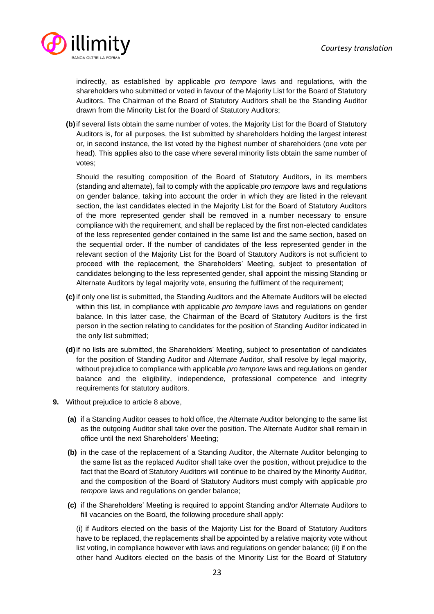

indirectly, as established by applicable *pro tempore* laws and regulations, with the shareholders who submitted or voted in favour of the Majority List for the Board of Statutory Auditors. The Chairman of the Board of Statutory Auditors shall be the Standing Auditor drawn from the Minority List for the Board of Statutory Auditors;

**(b)**if several lists obtain the same number of votes, the Majority List for the Board of Statutory Auditors is, for all purposes, the list submitted by shareholders holding the largest interest or, in second instance, the list voted by the highest number of shareholders (one vote per head). This applies also to the case where several minority lists obtain the same number of votes;

Should the resulting composition of the Board of Statutory Auditors, in its members (standing and alternate), fail to comply with the applicable *pro tempore* laws and regulations on gender balance, taking into account the order in which they are listed in the relevant section, the last candidates elected in the Majority List for the Board of Statutory Auditors of the more represented gender shall be removed in a number necessary to ensure compliance with the requirement, and shall be replaced by the first non-elected candidates of the less represented gender contained in the same list and the same section, based on the sequential order. If the number of candidates of the less represented gender in the relevant section of the Majority List for the Board of Statutory Auditors is not sufficient to proceed with the replacement, the Shareholders' Meeting, subject to presentation of candidates belonging to the less represented gender, shall appoint the missing Standing or Alternate Auditors by legal majority vote, ensuring the fulfilment of the requirement;

- **(c)** if only one list is submitted, the Standing Auditors and the Alternate Auditors will be elected within this list, in compliance with applicable *pro tempore* laws and regulations on gender balance. In this latter case, the Chairman of the Board of Statutory Auditors is the first person in the section relating to candidates for the position of Standing Auditor indicated in the only list submitted;
- **(d)**if no lists are submitted, the Shareholders' Meeting, subject to presentation of candidates for the position of Standing Auditor and Alternate Auditor, shall resolve by legal majority, without prejudice to compliance with applicable *pro tempore* laws and regulations on gender balance and the eligibility, independence, professional competence and integrity requirements for statutory auditors.
- **9.** Without prejudice to article 8 above,
	- **(a)** if a Standing Auditor ceases to hold office, the Alternate Auditor belonging to the same list as the outgoing Auditor shall take over the position. The Alternate Auditor shall remain in office until the next Shareholders' Meeting;
	- **(b)** in the case of the replacement of a Standing Auditor, the Alternate Auditor belonging to the same list as the replaced Auditor shall take over the position, without prejudice to the fact that the Board of Statutory Auditors will continue to be chaired by the Minority Auditor, and the composition of the Board of Statutory Auditors must comply with applicable *pro tempore* laws and regulations on gender balance;
	- **(c)** if the Shareholders' Meeting is required to appoint Standing and/or Alternate Auditors to fill vacancies on the Board, the following procedure shall apply:

(i) if Auditors elected on the basis of the Majority List for the Board of Statutory Auditors have to be replaced, the replacements shall be appointed by a relative majority vote without list voting, in compliance however with laws and regulations on gender balance; (ii) if on the other hand Auditors elected on the basis of the Minority List for the Board of Statutory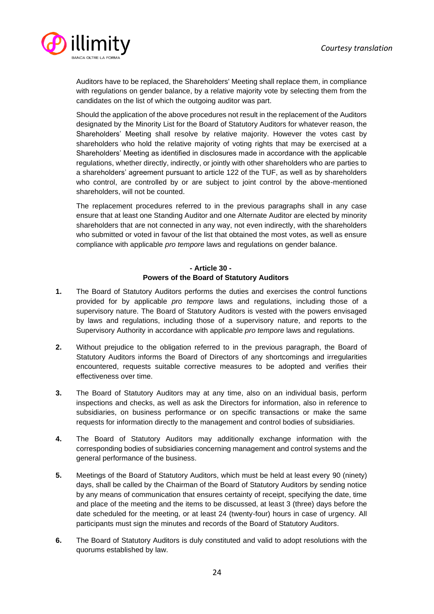

Auditors have to be replaced, the Shareholders' Meeting shall replace them, in compliance with regulations on gender balance, by a relative majority vote by selecting them from the candidates on the list of which the outgoing auditor was part.

Should the application of the above procedures not result in the replacement of the Auditors designated by the Minority List for the Board of Statutory Auditors for whatever reason, the Shareholders' Meeting shall resolve by relative majority. However the votes cast by shareholders who hold the relative majority of voting rights that may be exercised at a Shareholders' Meeting as identified in disclosures made in accordance with the applicable regulations, whether directly, indirectly, or jointly with other shareholders who are parties to a shareholders' agreement pursuant to article 122 of the TUF, as well as by shareholders who control, are controlled by or are subject to joint control by the above-mentioned shareholders, will not be counted.

The replacement procedures referred to in the previous paragraphs shall in any case ensure that at least one Standing Auditor and one Alternate Auditor are elected by minority shareholders that are not connected in any way, not even indirectly, with the shareholders who submitted or voted in favour of the list that obtained the most votes, as well as ensure compliance with applicable *pro tempore* laws and regulations on gender balance.

# **- Article 30 - Powers of the Board of Statutory Auditors**

- **1.** The Board of Statutory Auditors performs the duties and exercises the control functions provided for by applicable *pro tempore* laws and regulations, including those of a supervisory nature. The Board of Statutory Auditors is vested with the powers envisaged by laws and regulations, including those of a supervisory nature, and reports to the Supervisory Authority in accordance with applicable *pro tempore* laws and regulations.
- **2.** Without prejudice to the obligation referred to in the previous paragraph, the Board of Statutory Auditors informs the Board of Directors of any shortcomings and irregularities encountered, requests suitable corrective measures to be adopted and verifies their effectiveness over time.
- **3.** The Board of Statutory Auditors may at any time, also on an individual basis, perform inspections and checks, as well as ask the Directors for information, also in reference to subsidiaries, on business performance or on specific transactions or make the same requests for information directly to the management and control bodies of subsidiaries.
- **4.** The Board of Statutory Auditors may additionally exchange information with the corresponding bodies of subsidiaries concerning management and control systems and the general performance of the business.
- **5.** Meetings of the Board of Statutory Auditors, which must be held at least every 90 (ninety) days, shall be called by the Chairman of the Board of Statutory Auditors by sending notice by any means of communication that ensures certainty of receipt, specifying the date, time and place of the meeting and the items to be discussed, at least 3 (three) days before the date scheduled for the meeting, or at least 24 (twenty-four) hours in case of urgency. All participants must sign the minutes and records of the Board of Statutory Auditors.
- **6.** The Board of Statutory Auditors is duly constituted and valid to adopt resolutions with the quorums established by law.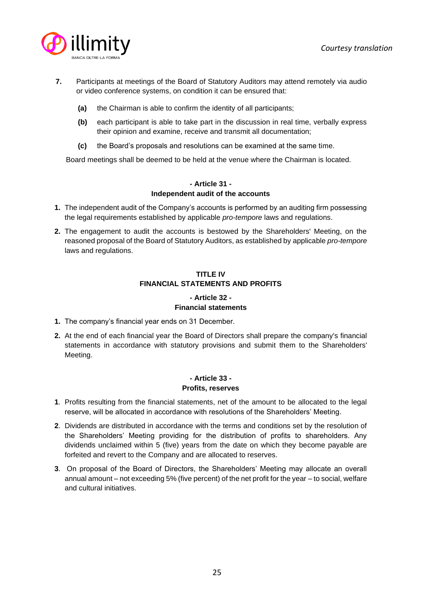

- **7.** Participants at meetings of the Board of Statutory Auditors may attend remotely via audio or video conference systems, on condition it can be ensured that:
	- **(a)** the Chairman is able to confirm the identity of all participants;
	- **(b)** each participant is able to take part in the discussion in real time, verbally express their opinion and examine, receive and transmit all documentation;
	- **(c)** the Board's proposals and resolutions can be examined at the same time.

Board meetings shall be deemed to be held at the venue where the Chairman is located.

# **- Article 31 - Independent audit of the accounts**

- **1.** The independent audit of the Company's accounts is performed by an auditing firm possessing the legal requirements established by applicable *pro-tempore* laws and regulations.
- **2.** The engagement to audit the accounts is bestowed by the Shareholders' Meeting, on the reasoned proposal of the Board of Statutory Auditors, as established by applicable *pro-tempore* laws and regulations.

## **TITLE IV FINANCIAL STATEMENTS AND PROFITS**

# **- Article 32 - Financial statements**

- **1.** The company's financial year ends on 31 December.
- **2.** At the end of each financial year the Board of Directors shall prepare the company's financial statements in accordance with statutory provisions and submit them to the Shareholders' Meeting.

# **- Article 33 - Profits, reserves**

- **1**. Profits resulting from the financial statements, net of the amount to be allocated to the legal reserve, will be allocated in accordance with resolutions of the Shareholders' Meeting.
- **2**. Dividends are distributed in accordance with the terms and conditions set by the resolution of the Shareholders' Meeting providing for the distribution of profits to shareholders. Any dividends unclaimed within 5 (five) years from the date on which they become payable are forfeited and revert to the Company and are allocated to reserves.
- **3**. On proposal of the Board of Directors, the Shareholders' Meeting may allocate an overall annual amount – not exceeding 5% (five percent) of the net profit for the year – to social, welfare and cultural initiatives.